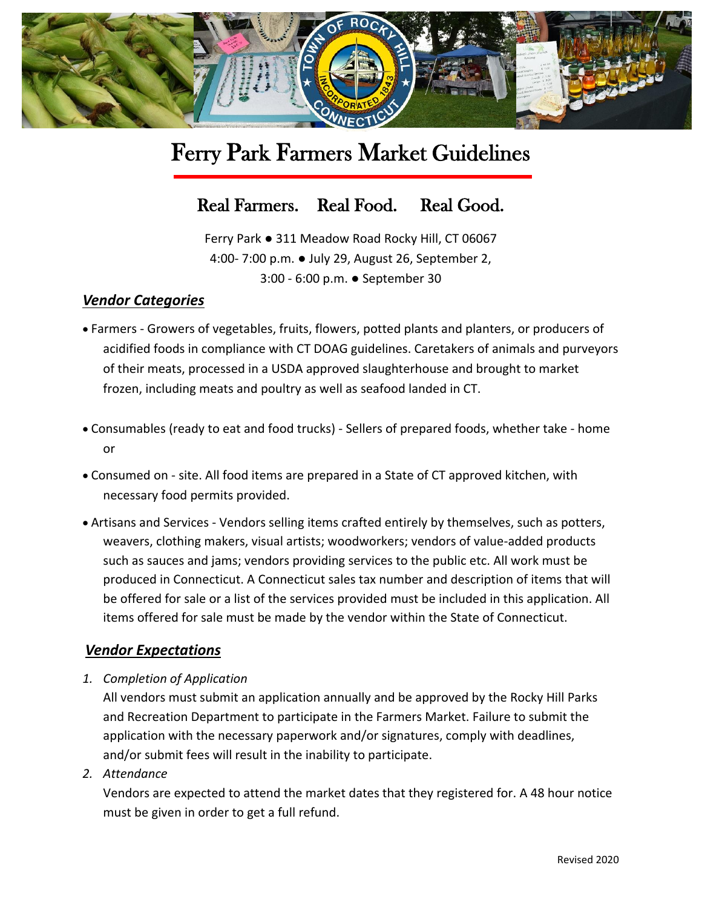

# Ferry Park Farmers Market Guidelines

# Real Farmers. Real Food. Real Good.

Ferry Park ● 311 Meadow Road Rocky Hill, CT 06067 4:00- 7:00 p.m. ● July 29, August 26, September 2, 3:00 - 6:00 p.m. ● September 30

# *Vendor Categories*

- Farmers Growers of vegetables, fruits, flowers, potted plants and planters, or producers of acidified foods in compliance with CT DOAG guidelines. Caretakers of animals and purveyors of their meats, processed in a USDA approved slaughterhouse and brought to market frozen, including meats and poultry as well as seafood landed in CT.
- Consumables (ready to eat and food trucks) Sellers of prepared foods, whether take home or
- Consumed on site. All food items are prepared in a State of CT approved kitchen, with necessary food permits provided.
- Artisans and Services Vendors selling items crafted entirely by themselves, such as potters, weavers, clothing makers, visual artists; woodworkers; vendors of value-added products such as sauces and jams; vendors providing services to the public etc. All work must be produced in Connecticut. A Connecticut sales tax number and description of items that will be offered for sale or a list of the services provided must be included in this application. All items offered for sale must be made by the vendor within the State of Connecticut.

#### *Vendor Expectations*

*1. Completion of Application*

All vendors must submit an application annually and be approved by the Rocky Hill Parks and Recreation Department to participate in the Farmers Market. Failure to submit the application with the necessary paperwork and/or signatures, comply with deadlines, and/or submit fees will result in the inability to participate.

*2. Attendance*

Vendors are expected to attend the market dates that they registered for. A 48 hour notice must be given in order to get a full refund.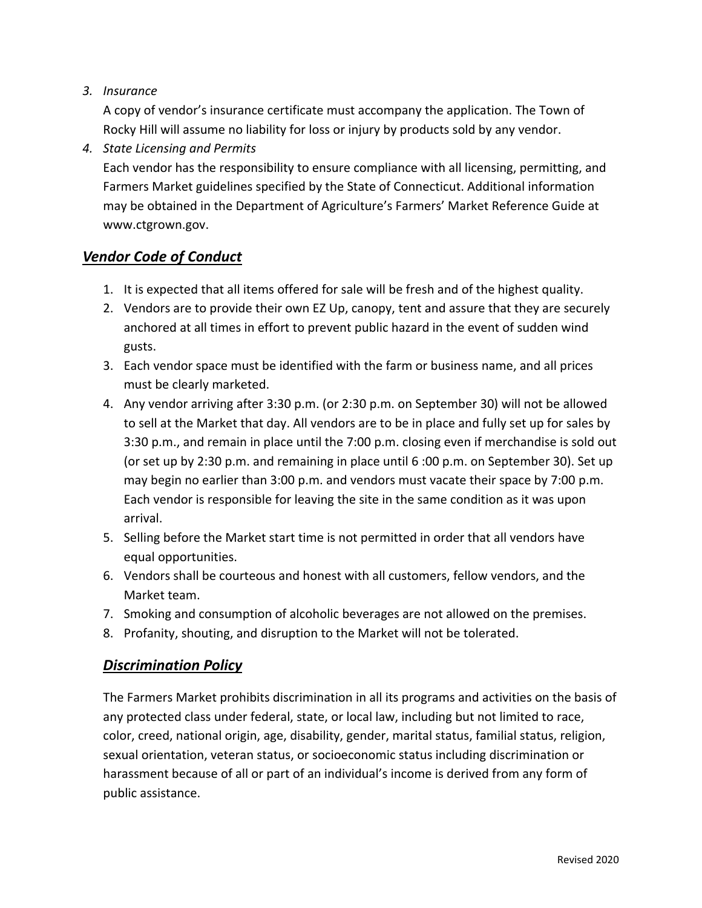### *3. Insurance*

A copy of vendor's insurance certificate must accompany the application. The Town of Rocky Hill will assume no liability for loss or injury by products sold by any vendor.

### *4. State Licensing and Permits*

Each vendor has the responsibility to ensure compliance with all licensing, permitting, and Farmers Market guidelines specified by the State of Connecticut. Additional information may be obtained in the Department of Agriculture's Farmers' Market Reference Guide at www.ctgrown.gov.

# *Vendor Code of Conduct*

- 1. It is expected that all items offered for sale will be fresh and of the highest quality.
- 2. Vendors are to provide their own EZ Up, canopy, tent and assure that they are securely anchored at all times in effort to prevent public hazard in the event of sudden wind gusts.
- 3. Each vendor space must be identified with the farm or business name, and all prices must be clearly marketed.
- 4. Any vendor arriving after 3:30 p.m. (or 2:30 p.m. on September 30) will not be allowed to sell at the Market that day. All vendors are to be in place and fully set up for sales by 3:30 p.m., and remain in place until the 7:00 p.m. closing even if merchandise is sold out (or set up by 2:30 p.m. and remaining in place until 6 :00 p.m. on September 30). Set up may begin no earlier than 3:00 p.m. and vendors must vacate their space by 7:00 p.m. Each vendor is responsible for leaving the site in the same condition as it was upon arrival.
- 5. Selling before the Market start time is not permitted in order that all vendors have equal opportunities.
- 6. Vendors shall be courteous and honest with all customers, fellow vendors, and the Market team.
- 7. Smoking and consumption of alcoholic beverages are not allowed on the premises.
- 8. Profanity, shouting, and disruption to the Market will not be tolerated.

# *Discrimination Policy*

The Farmers Market prohibits discrimination in all its programs and activities on the basis of any protected class under federal, state, or local law, including but not limited to race, color, creed, national origin, age, disability, gender, marital status, familial status, religion, sexual orientation, veteran status, or socioeconomic status including discrimination or harassment because of all or part of an individual's income is derived from any form of public assistance.